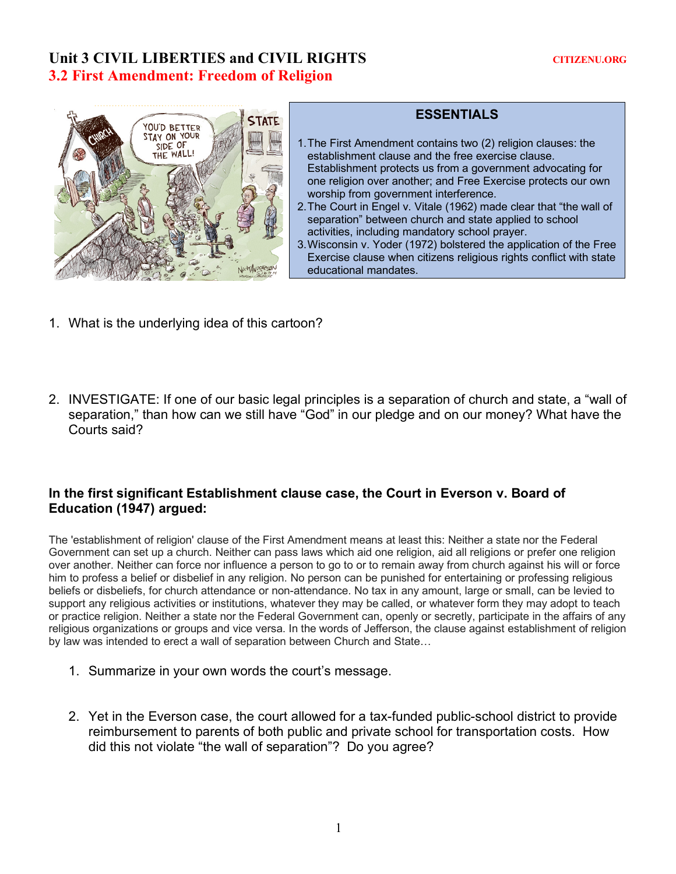# Unit 3 CIVIL LIBERTIES and CIVIL RIGHTS **CITIZENU.ORG 3.2 First Amendment: Freedom of Religion**



## **ESSENTIALS**

- 1.The First Amendment contains two (2) religion clauses: the establishment clause and the free exercise clause. Establishment protects us from a government advocating for one religion over another; and Free Exercise protects our own worship from government interference.
- 2.The Court in Engel v. Vitale (1962) made clear that "the wall of separation" between church and state applied to school activities, including mandatory school prayer.
- 3.Wisconsin v. Yoder (1972) bolstered the application of the Free Exercise clause when citizens religious rights conflict with state educational mandates.
- 1. What is the underlying idea of this cartoon?
- 2. INVESTIGATE: If one of our basic legal principles is a separation of church and state, a "wall of separation," than how can we still have "God" in our pledge and on our money? What have the Courts said?

#### **In the first significant Establishment clause case, the Court in Everson v. Board of Education (1947) argued:**

The 'establishment of religion' clause of the First Amendment means at least this: Neither a state nor the Federal Government can set up a church. Neither can pass laws which aid one religion, aid all religions or prefer one religion over another. Neither can force nor influence a person to go to or to remain away from church against his will or force him to profess a belief or disbelief in any religion. No person can be punished for entertaining or professing religious beliefs or disbeliefs, for church attendance or non-attendance. No tax in any amount, large or small, can be levied to support any religious activities or institutions, whatever they may be called, or whatever form they may adopt to teach or practice religion. Neither a state nor the Federal Government can, openly or secretly, participate in the affairs of any religious organizations or groups and vice versa. In the words of Jefferson, the clause against establishment of religion by law was intended to erect a wall of separation between Church and State…

- 1. Summarize in your own words the court's message.
- 2. Yet in the Everson case, the court allowed for a tax-funded public-school district to provide reimbursement to parents of both public and private school for transportation costs. How did this not violate "the wall of separation"? Do you agree?